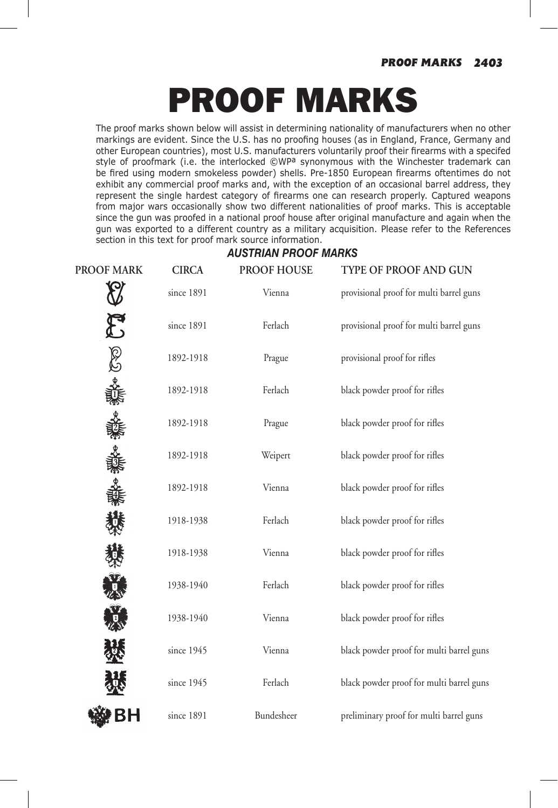# PROOF MARKS

The proof marks shown below will assist in determining nationality of manufacturers when no other markings are evident. Since the U.S. has no proofing houses (as in England, France, Germany and other European countries), most U.S. manufacturers voluntarily proof their firearms with a specifed style of proofmark (i.e. the interlocked ©WP<sup>a</sup> synonymous with the Winchester trademark can be fired using modern smokeless powder) shells. Pre-1850 European firearms oftentimes do not exhibit any commercial proof marks and, with the exception of an occasional barrel address, they represent the single hardest category of firearms one can research properly. Captured weapons from major wars occasionally show two different nationalities of proof marks. This is acceptable since the gun was proofed in a national proof house after original manufacture and again when the gun was exported to a different country as a military acquisition. Please refer to the References section in this text for proof mark source information.

#### *AUSTRIAN PROOF MARKS*

| <b>PROOF MARK</b> | <b>CIRCA</b> | <b>PROOF HOUSE</b> | TYPE OF PROOF AND GUN                    |
|-------------------|--------------|--------------------|------------------------------------------|
|                   | since 1891   | Vienna             | provisional proof for multi barrel guns  |
|                   | since 1891   | Ferlach            | provisional proof for multi barrel guns  |
| CO es ai          | 1892-1918    | Prague             | provisional proof for rifles             |
|                   | 1892-1918    | Ferlach            | black powder proof for rifles            |
|                   | 1892-1918    | Prague             | black powder proof for rifles            |
|                   | 1892-1918    | Weipert            | black powder proof for rifles            |
|                   | 1892-1918    | Vienna             | black powder proof for rifles            |
|                   | 1918-1938    | Ferlach            | black powder proof for rifles            |
|                   | 1918-1938    | Vienna             | black powder proof for rifles            |
|                   | 1938-1940    | Ferlach            | black powder proof for rifles            |
|                   | 1938-1940    | Vienna             | black powder proof for rifles            |
|                   | since 1945   | Vienna             | black powder proof for multi barrel guns |
|                   | since 1945   | Ferlach            | black powder proof for multi barrel guns |
|                   | since 1891   | Bundesheer         | preliminary proof for multi barrel guns  |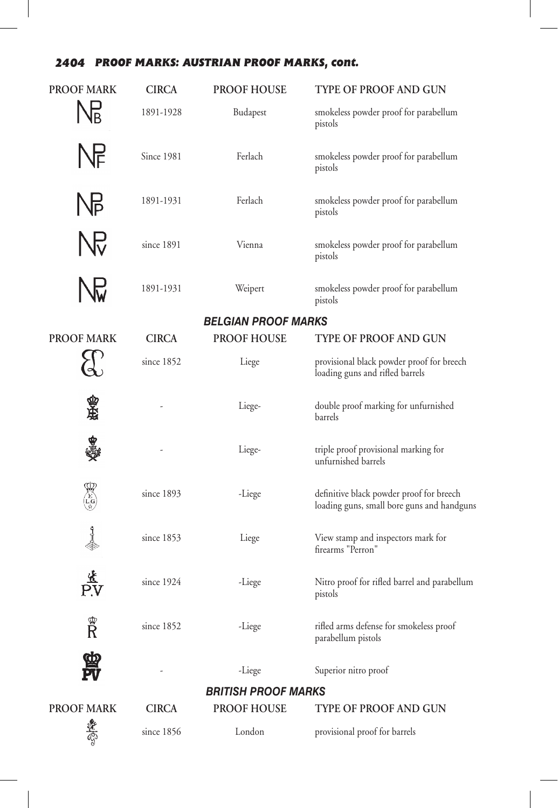## *2404 PROOF MARKS: AUSTRIAN PROOF MARKS, cont.*

| <b>PROOF MARK</b>         | <b>CIRCA</b>               | <b>PROOF HOUSE</b>         | TYPE OF PROOF AND GUN                                                                  |  |
|---------------------------|----------------------------|----------------------------|----------------------------------------------------------------------------------------|--|
|                           | 1891-1928                  | Budapest                   | smokeless powder proof for parabellum<br>pistols                                       |  |
|                           | <b>Since 1981</b>          | Ferlach                    | smokeless powder proof for parabellum<br>pistols                                       |  |
| ŊЬ                        | 1891-1931                  | Ferlach                    | smokeless powder proof for parabellum<br>pistols                                       |  |
| ŊЬ                        | since 1891                 | Vienna                     | smokeless powder proof for parabellum<br>pistols                                       |  |
|                           | 1891-1931                  | Weipert                    | smokeless powder proof for parabellum<br>pistols                                       |  |
|                           | <b>BELGIAN PROOF MARKS</b> |                            |                                                                                        |  |
| <b>PROOF MARK</b>         | <b>CIRCA</b>               | <b>PROOF HOUSE</b>         | <b>TYPE OF PROOF AND GUN</b>                                                           |  |
|                           | since 1852                 | Liege                      | provisional black powder proof for breech<br>loading guns and rifled barrels           |  |
| 承感                        |                            | Liege-                     | double proof marking for unfurnished<br>barrels                                        |  |
|                           |                            | Liege-                     | triple proof provisional marking for<br>unfurnished barrels                            |  |
| <b>ARCIC</b>              | since 1893                 | -Liege                     | definitive black powder proof for breech<br>loading guns, small bore guns and handguns |  |
| ↑<br>∜                    | since 1853                 | Liege                      | View stamp and inspectors mark for<br>firearms "Perron"                                |  |
|                           | since 1924                 | -Liege                     | Nitro proof for rifled barrel and parabellum<br>pistols                                |  |
| $\mathbb{R}^{\mathbb{C}}$ | since 1852                 | -Liege                     | rifled arms defense for smokeless proof<br>parabellum pistols                          |  |
|                           |                            | -Liege                     | Superior nitro proof                                                                   |  |
|                           |                            | <b>BRITISH PROOF MARKS</b> |                                                                                        |  |
| <b>PROOF MARK</b>         | <b>CIRCA</b>               | <b>PROOF HOUSE</b>         | <b>TYPE OF PROOF AND GUN</b>                                                           |  |
|                           | since 1856                 | London                     | provisional proof for barrels                                                          |  |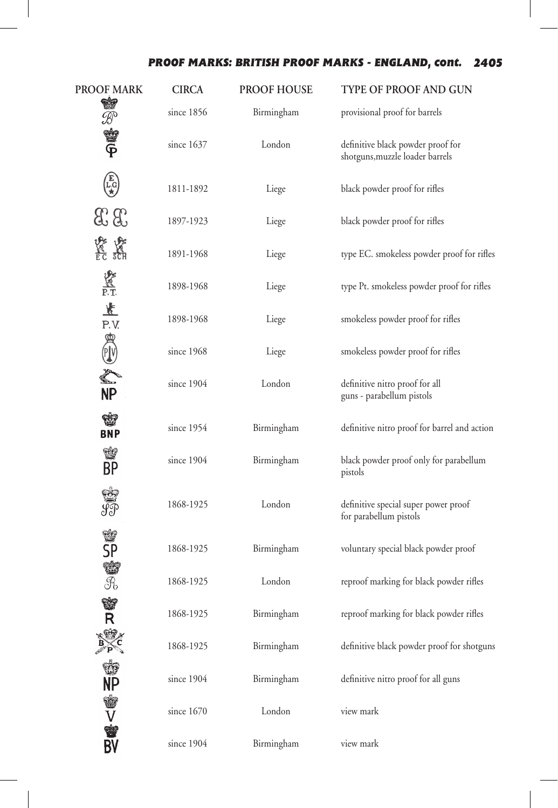## *PROOF MARKS: BRITISH PROOF MARKS - ENGLAND, cont. 2405*

| <b>PROOF MARK</b>                                                                               | <b>CIRCA</b> | <b>PROOF HOUSE</b> | TYPE OF PROOF AND GUN                                                |
|-------------------------------------------------------------------------------------------------|--------------|--------------------|----------------------------------------------------------------------|
|                                                                                                 | since 1856   | Birmingham         | provisional proof for barrels                                        |
| SA SHIFT                                                                                        | since 1637   | London             | definitive black powder proof for<br>shotguns, muzzle loader barrels |
| $\begin{pmatrix} \widehat{\mathbf{E}} \\ \mathbf{L} \mathbf{G} \\ \mathbf{\star} \end{pmatrix}$ | 1811-1892    | Liege              | black powder proof for rifles                                        |
| $x_3$                                                                                           | 1897-1923    | Liege              | black powder proof for rifles                                        |
| <b>数数</b>                                                                                       | 1891-1968    | Liege              | type EC. smokeless powder proof for rifles                           |
| <b>VACT</b><br>P.T.                                                                             | 1898-1968    | Liege              | type Pt. smokeless powder proof for rifles                           |
| $rac{1}{1}$<br>P.V.                                                                             | 1898-1968    | Liege              | smokeless powder proof for rifles                                    |
| 的儿子                                                                                             | since 1968   | Liege              | smokeless powder proof for rifles                                    |
| $\sum_{i=1}^{n}$<br><b>NP</b>                                                                   | since 1904   | London             | definitive nitro proof for all<br>guns - parabellum pistols          |
| <b>BNP</b>                                                                                      | since 1954   | Birmingham         | definitive nitro proof for barrel and action                         |
| 會<br>BP                                                                                         | since 1904   | Birmingham         | black powder proof only for parabellum<br>pistols                    |
| \$                                                                                              | 1868-1925    | London             | definitive special super power proof<br>for parabellum pistols       |
| 警SP<br>警                                                                                        | 1868-1925    | Birmingham         | voluntary special black powder proof                                 |
|                                                                                                 | 1868-1925    | London             | reproof marking for black powder rifles                              |
| Ŵ<br>Ŕ                                                                                          | 1868-1925    | Birmingham         | reproof marking for black powder rifles                              |
|                                                                                                 | 1868-1925    | Birmingham         | definitive black powder proof for shotguns                           |
|                                                                                                 | since 1904   | Birmingham         | definitive nitro proof for all guns                                  |
| 的暴入暴的                                                                                           | since 1670   | London             | view mark                                                            |
|                                                                                                 | since 1904   | Birmingham         | view mark                                                            |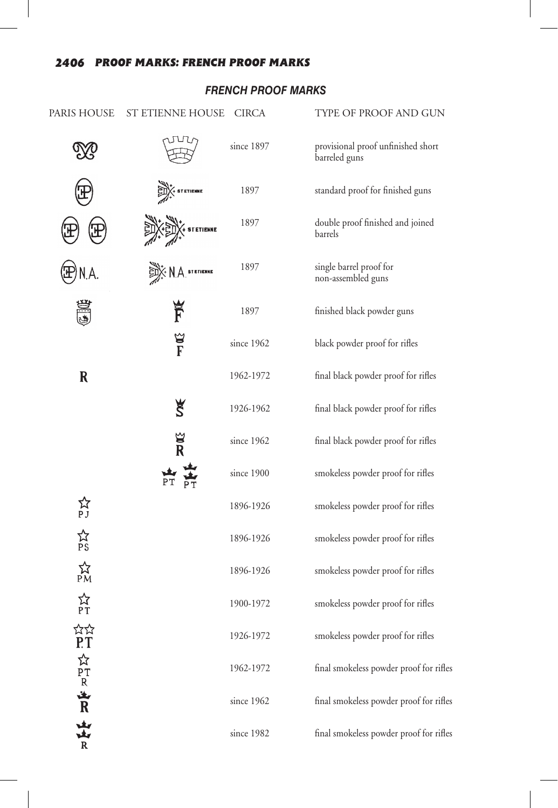## **FRENCH PROOF MARKS**

| PARIS HOUSE                        | ST ETIENNE HOUSE | CIRCA      | TYPE OF PROOF AND GUN                               |
|------------------------------------|------------------|------------|-----------------------------------------------------|
|                                    |                  | since 1897 | provisional proof unfinished short<br>barreled guns |
|                                    | <b>STETIENNE</b> | 1897       | standard proof for finished guns                    |
|                                    | <b>TETIENNE</b>  | 1897       | double proof finished and joined<br>barrels         |
|                                    | <b>STETIENNE</b> | 1897       | single barrel proof for<br>non-assembled guns       |
|                                    | F                | 1897       | finished black powder guns                          |
|                                    | F<br>E           | since 1962 | black powder proof for rifles                       |
| $\mathbf R$                        |                  | 1962-1972  | final black powder proof for rifles                 |
|                                    | š                | 1926-1962  | final black powder proof for rifles                 |
|                                    | $\frac{1}{2}$    | since 1962 | final black powder proof for rifles                 |
|                                    |                  | since 1900 | smokeless powder proof for rifles                   |
| ☆<br>PJ                            |                  | 1896-1926  | smokeless powder proof for rifles                   |
| ☆<br>PS                            |                  | 1896-1926  | smokeless powder proof for rifles                   |
| $\underset{PM}{\overset{1}{\sim}}$ |                  | 1896-1926  | smokeless powder proof for rifles                   |
| አት<br>የፐ                           |                  | 1900-1972  | smokeless powder proof for rifles                   |
| ☆☆<br>P.T                          |                  | 1926-1972  | smokeless powder proof for rifles                   |
|                                    |                  | 1962-1972  | final smokeless powder proof for rifles             |
| ☆PTR 山下 山上 R                       |                  | since 1962 | final smokeless powder proof for rifles             |
|                                    |                  | since 1982 | final smokeless powder proof for rifles             |
|                                    |                  |            |                                                     |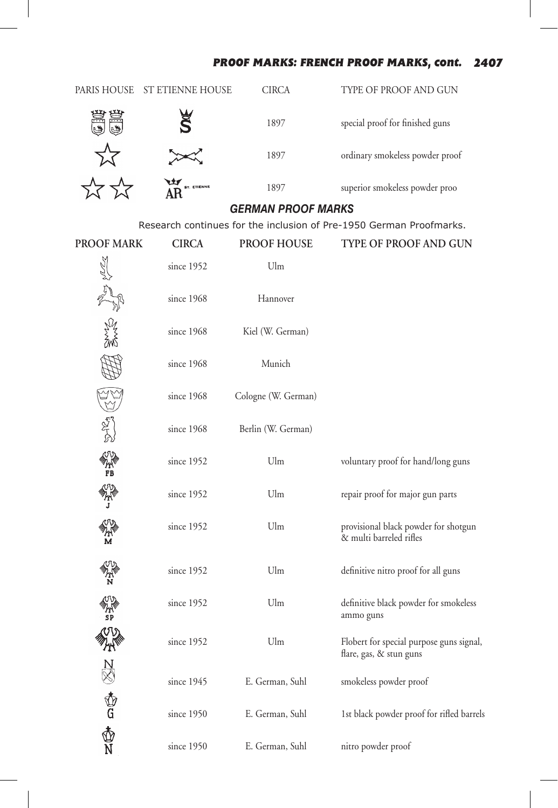#### *PROOF MARKS: FRENCH PROOF MARKS, cont. 2407*

|                               | PARIS HOUSE ST ETIENNE HOUSE | <b>CIRCA</b>              | TYPE OF PROOF AND GUN                                               |
|-------------------------------|------------------------------|---------------------------|---------------------------------------------------------------------|
|                               |                              | 1897                      | special proof for finished guns                                     |
|                               |                              | 1897                      | ordinary smokeless powder proof                                     |
|                               |                              | 1897                      | superior smokeless powder proo                                      |
|                               |                              | <b>GERMAN PROOF MARKS</b> |                                                                     |
|                               |                              |                           | Research continues for the inclusion of Pre-1950 German Proofmarks. |
| <b>PROOF MARK</b>             | <b>CIRCA</b>                 | <b>PROOF HOUSE</b>        | <b>TYPE OF PROOF AND GUN</b>                                        |
|                               | since 1952                   | Ulm                       |                                                                     |
|                               | since 1968                   | Hannover                  |                                                                     |
|                               | since 1968                   | Kiel (W. German)          |                                                                     |
|                               | since 1968                   | Munich                    |                                                                     |
|                               | since 1968                   | Cologne (W. German)       |                                                                     |
|                               | since 1968                   | Berlin (W. German)        |                                                                     |
| VV<br>AN<br>FB                | since 1952                   | Ulm                       | voluntary proof for hand/long guns                                  |
|                               | since 1952                   | Ulm                       | repair proof for major gun parts                                    |
| M                             | since 1952                   | Ulm                       | provisional black powder for shotgun<br>& multi barreled rifles     |
| m<br>N                        | since 1952                   | Ulm                       | definitive nitro proof for all guns                                 |
| ℳℷ                            | since 1952                   | Ulm                       | definitive black powder for smokeless<br>ammo guns                  |
| <b>ANS CONTROL CONTRACTOR</b> | since 1952                   | $U\!I\!m$                 | Flobert for special purpose guns signal,<br>flare, gas, & stun guns |
|                               | since 1945                   | E. German, Suhl           | smokeless powder proof                                              |
|                               | since 1950                   | E. German, Suhl           | 1st black powder proof for rifled barrels                           |
|                               | since 1950                   | E. German, Suhl           | nitro powder proof                                                  |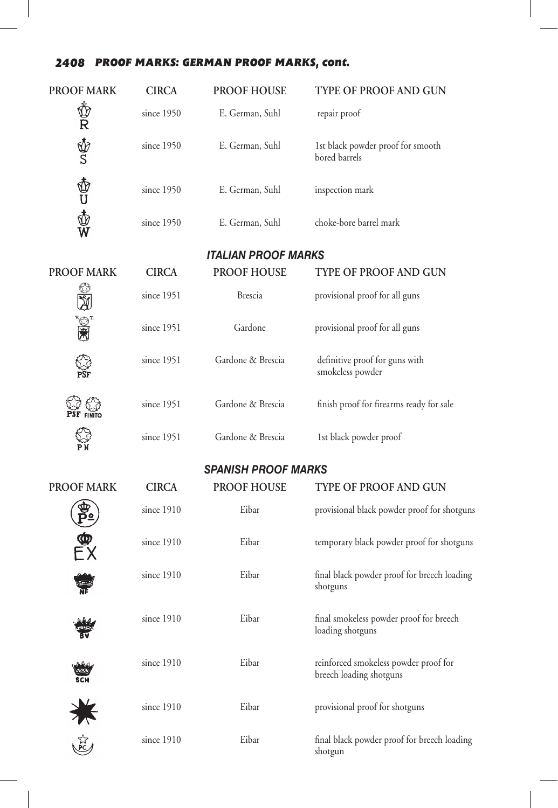#### *2408 PROOF MARKS: GERMAN PROOF MARKS, cont.*

| <b>PROOF MARK</b> | <b>CIRCA</b> | <b>PROOF HOUSE</b>         | <b>TYPE OF PROOF AND GUN</b>                                     |
|-------------------|--------------|----------------------------|------------------------------------------------------------------|
| Ů<br>R            | since 1950   | E. German, Suhl            | repair proof                                                     |
| \$<br>S           | since 1950   | E. German, Suhl            | 1st black powder proof for smooth<br>bored barrels               |
| あし<br>めんの         | since 1950   | E. German, Suhl            | inspection mark                                                  |
|                   | since 1950   | E. German, Suhl            | choke-bore barrel mark                                           |
|                   |              | <b>ITALIAN PROOF MARKS</b> |                                                                  |
| <b>PROOF MARK</b> | <b>CIRCA</b> | <b>PROOF HOUSE</b>         | <b>TYPE OF PROOF AND GUN</b>                                     |
|                   | since 1951   | <b>Brescia</b>             | provisional proof for all guns                                   |
|                   | since 1951   | Gardone                    | provisional proof for all guns                                   |
|                   | since 1951   | Gardone & Brescia          | definitive proof for guns with<br>smokeless powder               |
| <b>FINITO</b>     | since 1951   | Gardone & Brescia          | finish proof for firearms ready for sale                         |
|                   | since 1951   | Gardone & Brescia          | 1st black powder proof                                           |
|                   |              | <b>SPANISH PROOF MARKS</b> |                                                                  |
| <b>PROOF MARK</b> | <b>CIRCA</b> | <b>PROOF HOUSE</b>         | <b>TYPE OF PROOF AND GUN</b>                                     |
|                   | since 1910   | Eibar                      | provisional black powder proof for shotguns                      |
|                   | since 1910   | Eibar                      | temporary black powder proof for shotguns                        |
|                   | since 1910   | Eibar                      | final black powder proof for breech loading<br>shotguns          |
|                   | since 1910   | Eibar                      | final smokeless powder proof for breech<br>loading shotguns      |
| <b>SCH</b>        | since 1910   | Eibar                      | reinforced smokeless powder proof for<br>breech loading shotguns |
| 美运                | since 1910   | Eibar                      | provisional proof for shotguns                                   |
|                   | since 1910   | Eibar                      | final black powder proof for breech loading<br>shotgun           |